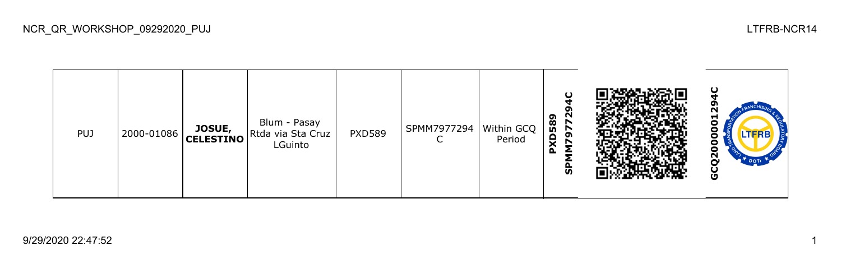| <b>PUJ</b> | 2000-01086 |  | Blum - Pasay<br><b>JOSUE,</b> Rtda via Sta Cruz<br>LGuinto | <b>PXD589</b> | SPMM7977294 | Within GCQ<br>Period | N<br>589<br>r<br>r<br>ຶ<br>e<br>↖<br>⌒<br>o.<br>ັທ |  | $\mathbf C$<br>−<br>o<br>o<br>o<br>o<br>c<br>$\mathbf{r}$<br>DOT<br>ဖ |
|------------|------------|--|------------------------------------------------------------|---------------|-------------|----------------------|----------------------------------------------------|--|-----------------------------------------------------------------------|
|------------|------------|--|------------------------------------------------------------|---------------|-------------|----------------------|----------------------------------------------------|--|-----------------------------------------------------------------------|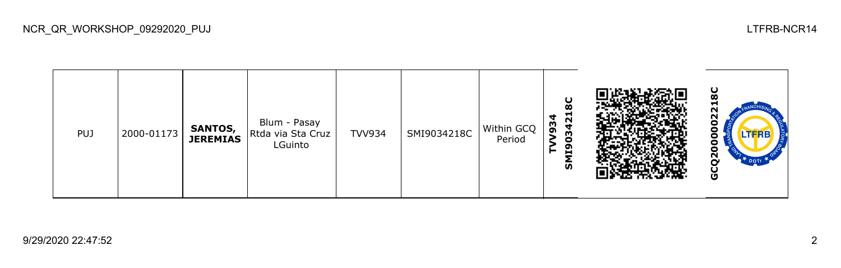**GCQ2000002218CSMI9034218C** 20 Blum - Pasay **TVV934** PUJ 2000-01173 **SANTOS,**  TVV934 SMI9034218C Within GCQ **OOO** Rtda via Sta Cruz **JEREMIAS** Period LGuinto GCQ20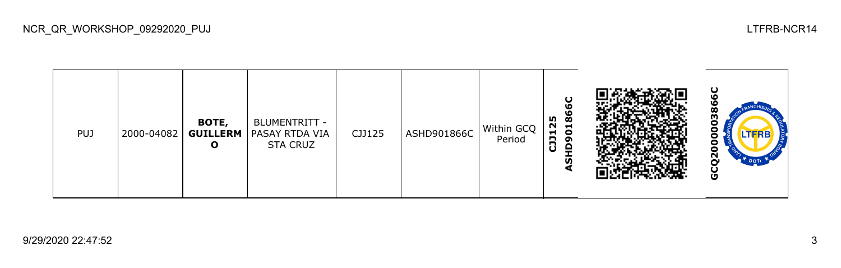| <b>PUJ</b> | 2000-04082 | BOTE,<br>O | BLUMENTRITT -<br><b>GUILLERM   PASAY RTDA VIA</b><br><b>STA CRUZ</b> | CJJ125 | ASHD901866C | Within GCQ<br>Period | ပ<br>ശ<br>١O<br>ø<br>25<br>−<br>$\bullet$<br>⊣<br>В<br>ᡡ<br>$\Omega$<br>ن<br>ັທ<br>₫ |  | ပ<br>о<br>LTFRB<br>N<br>O |
|------------|------------|------------|----------------------------------------------------------------------|--------|-------------|----------------------|--------------------------------------------------------------------------------------|--|---------------------------|
|------------|------------|------------|----------------------------------------------------------------------|--------|-------------|----------------------|--------------------------------------------------------------------------------------|--|---------------------------|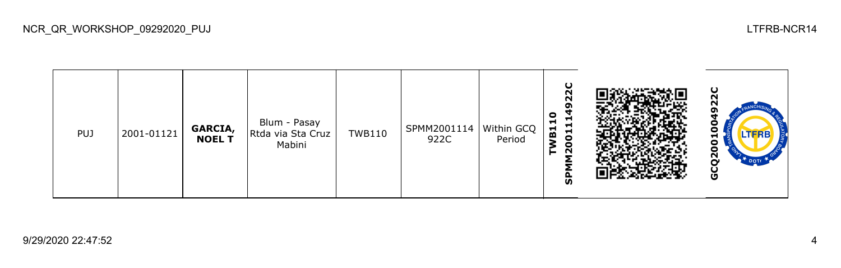| <b>PUJ</b> | 2001-01121 | <b>GARCIA,<br/>NOEL T</b> | Blum - Pasay<br>Rtda via Sta Cruz<br>Mabini | <b>TWB110</b> | SPMM2001114<br>922C | Within GCQ<br>Period | O<br>$\sim$<br>ົ<br>0<br>Н<br>⊣<br>$\blacksquare$<br>$\blacksquare$<br>$\blacksquare$<br>m<br>0<br>$\overline{2}$<br>ັທ |  | ο<br>−<br>o<br>8<br>Ν<br>DOTE<br>o |
|------------|------------|---------------------------|---------------------------------------------|---------------|---------------------|----------------------|-------------------------------------------------------------------------------------------------------------------------|--|------------------------------------|
|------------|------------|---------------------------|---------------------------------------------|---------------|---------------------|----------------------|-------------------------------------------------------------------------------------------------------------------------|--|------------------------------------|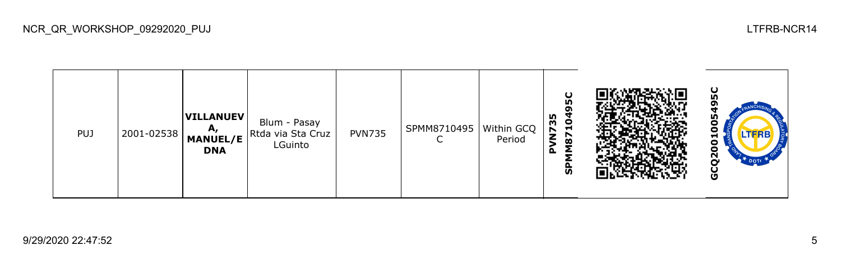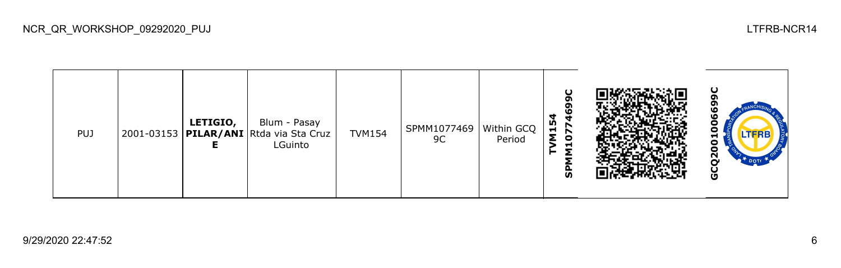| <b>PUJ</b> | LETIGIO,<br>2001-03153   PILAR/ANI Rtda via Sta Cruz | Blum - Pasay<br>LGuinto | <b>TVM154</b> | SPMM1077469   Within GCQ  <br>9C | Period | ΙĎ,<br>r<br>$\blacksquare$<br>∼<br>o<br>−<br><b>S</b> |  | O<br>ο<br>LIFKB<br>o<br>N<br>O |
|------------|------------------------------------------------------|-------------------------|---------------|----------------------------------|--------|-------------------------------------------------------|--|--------------------------------|
|------------|------------------------------------------------------|-------------------------|---------------|----------------------------------|--------|-------------------------------------------------------|--|--------------------------------|

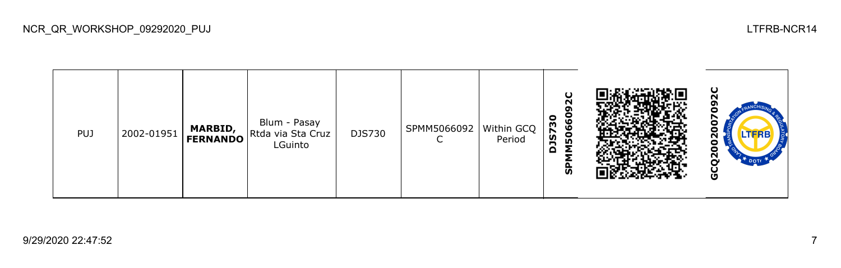**GCQ2002007092C**ິ<br>ລ **SPMM5066092C DJS730** Blum - Pasay c PUJ 2002-01951 **MARBID,**  DJS730 SPMM5066092 Within GCQ Rtda via Sta Cruz  $020$ **FERNANDO**  $\mathsf{C}$ Period LGuinto GCQ20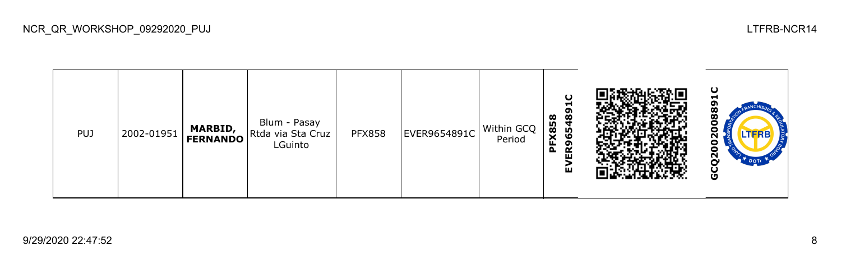**GCQ2002008891C**EVER965489 88 **PFX858** Blum - Pasay PUJ 2002-01951 **MARBID,**  PFX858 EVER9654891C Within GCQ  $\overline{0}2$ Rtda via Sta Cruz **FERNANDO** Period LGuinto Θ GCQ<sub>2</sub>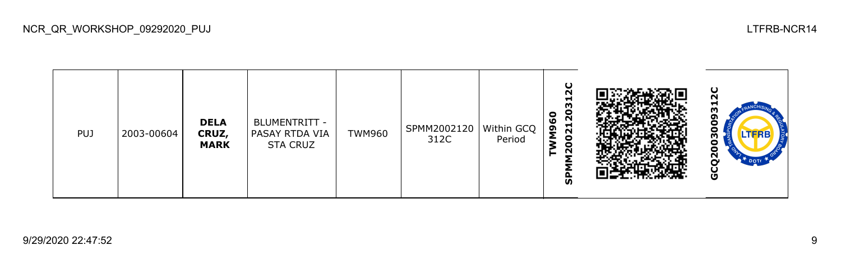| PUJ | 2003-00604 | <b>DELA</b><br>CRUZ,<br><b>MARK</b> | BLUMENTRITT -<br>PASAY RTDA VIA<br><b>STA CRUZ</b> | TWM960 | SPMM2002120<br>312C | Within GCQ<br>Period | ပ<br>$\sim$<br>−<br>m<br>o<br>0<br>212<br>ശ<br>ξ9<br>o<br>$\circ$<br>N<br>ັທ |  | ပ<br>N<br>⊣<br>TERE<br>о<br>N<br>o |
|-----|------------|-------------------------------------|----------------------------------------------------|--------|---------------------|----------------------|------------------------------------------------------------------------------|--|------------------------------------|
|-----|------------|-------------------------------------|----------------------------------------------------|--------|---------------------|----------------------|------------------------------------------------------------------------------|--|------------------------------------|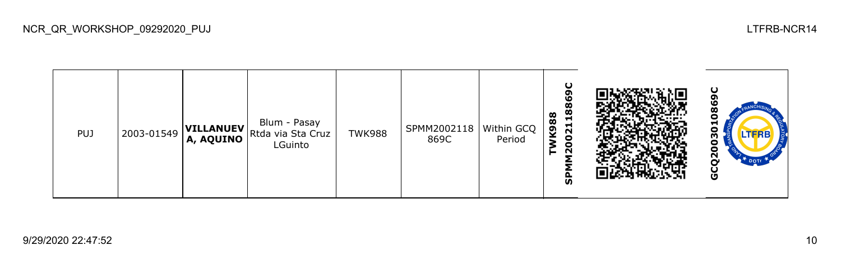**SPMM2002118869C GCQ2003010869CTWK988** ö Blum - Pasay PUJ 2003-01549 **VILLANUEV** Rtda via Sta Cruz TWK988 SPMM2002118 Within GCQ 030 869C Period LGuinto GCQ2 SPMI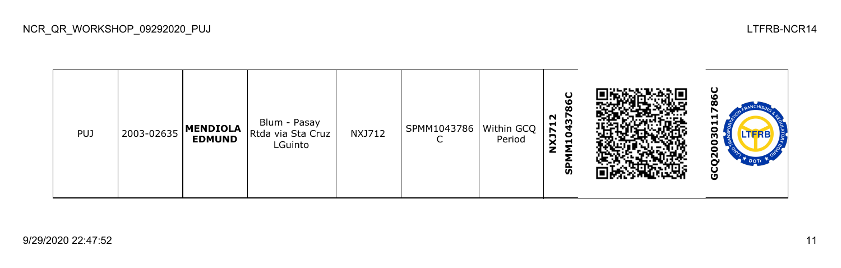| <b>PUJ</b> | 2003-02635 | MENDIOLA<br><b>EDMUND</b> | Blum - Pasay<br>Rtda via Sta Cruz<br>LGuinto | <b>NXJ712</b> | SPMM1043786 | Within GCQ<br>Period | U<br>٥<br>ထ<br>N<br>137<br>H.<br><b>ZCX</b><br>$\mathbf{a}$<br>z<br>င္ဟ |  | ပ္စ<br>▬<br>ᆏ<br>Ο<br>LTFRB<br>m<br>o<br>U<br>ี<br><sup>+</sup> DOTE<br>O |
|------------|------------|---------------------------|----------------------------------------------|---------------|-------------|----------------------|-------------------------------------------------------------------------|--|---------------------------------------------------------------------------|
|------------|------------|---------------------------|----------------------------------------------|---------------|-------------|----------------------|-------------------------------------------------------------------------|--|---------------------------------------------------------------------------|

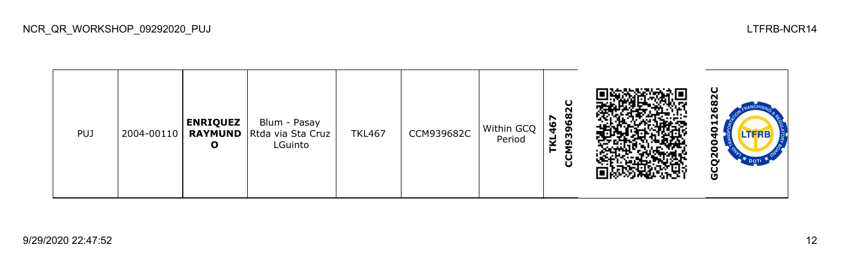| <b>PUJ</b> | 2004-00110 | <b>ENRIQUEZ</b><br>O | Blum - Pasay<br><b>RAYMUND</b> Rtda via Sta Cruz<br>LGuinto | <b>TKL467</b> | CCM939682C | Within GCQ<br>Period | ပ<br>ς<br>968<br>67<br>4<br>m<br>⊽<br>ຸດ<br>►<br>g |  | ပ<br>N<br>Н<br>Ο<br><b>LTFRB</b><br>о<br>о<br>ี<br>O |
|------------|------------|----------------------|-------------------------------------------------------------|---------------|------------|----------------------|----------------------------------------------------|--|------------------------------------------------------|
|------------|------------|----------------------|-------------------------------------------------------------|---------------|------------|----------------------|----------------------------------------------------|--|------------------------------------------------------|

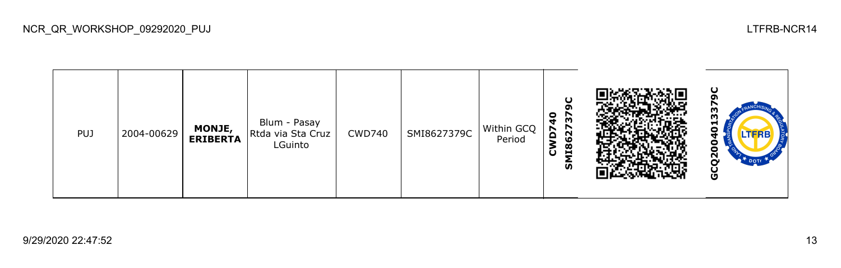**GCQ2004013379CCWD740** SMI862737 Blum - Pasay PUJ 2004-00629 **MONJE,**  CWD740 SMI8627379C Within GCQ Rtda via Sta Cruz **ERIBERTA** Period LGuinto Θ GCQ2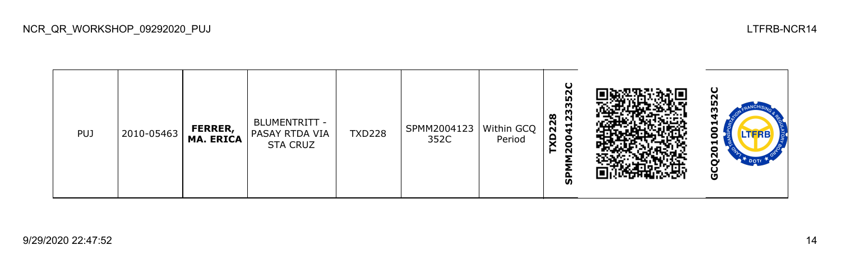| <b>PUJ</b> | 2010-05463 | FERRER,<br><b>MA. ERICA</b> | BLUMENTRITT -<br><b>PASAY RTDA VIA</b><br><b>STA CRUZ</b> | <b>TXD228</b> | SPMM2004123<br>352C | Within GCQ<br>Period | ပ<br>$\sim$<br>35<br>m<br>228<br>$\sim$<br>$\vec{r}$<br>χD<br>c<br>c<br>⊢<br>N<br>ັທ |  | ပ<br>N<br>ᆏ<br>o<br>LTFRB<br>o<br>ᆋ<br>o<br>N<br>u<br>U |
|------------|------------|-----------------------------|-----------------------------------------------------------|---------------|---------------------|----------------------|--------------------------------------------------------------------------------------|--|---------------------------------------------------------|
|------------|------------|-----------------------------|-----------------------------------------------------------|---------------|---------------------|----------------------|--------------------------------------------------------------------------------------|--|---------------------------------------------------------|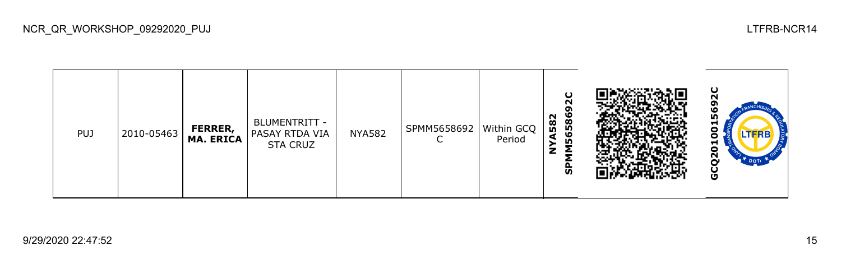| <b>PUJ</b> | 2010-05463 | FERRER,<br><b>MA. ERICA</b> | BLUMENTRITT -<br>PASAY RTDA VIA<br><b>STA CRUZ</b> | <b>NYA582</b> | SPMM5658692 | Within GCQ<br>Period | $\cup$<br>N<br>6586<br>582<br>w<br>z<br>င္ဟ |  | ပ<br>ဖ<br><b>ID</b><br>⊣<br>n<br>┯<br>о<br>Ñ<br><b>DOT</b><br>o |
|------------|------------|-----------------------------|----------------------------------------------------|---------------|-------------|----------------------|---------------------------------------------|--|-----------------------------------------------------------------|
|------------|------------|-----------------------------|----------------------------------------------------|---------------|-------------|----------------------|---------------------------------------------|--|-----------------------------------------------------------------|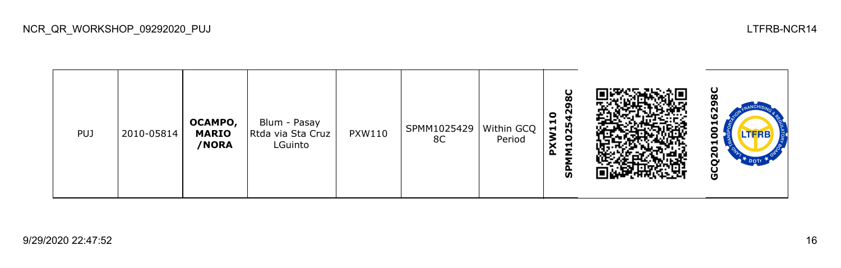| <b>PUJ</b> | 2010-05814 | OCAMPO,<br><b>MARIO</b><br>/NORA | Blum - Pasay<br>Rtda via Sta Cruz<br>LGuinto | <b>PXW110</b> | SPMM1025429<br>8C | Within GCQ<br>Period | ပ<br>ထ<br>໑<br>N<br>0<br>ы<br>25<br>$\blacksquare$<br>š<br>0<br>$\blacksquare$<br><b>S</b> |  | မ္ထ<br>Ņ<br>ဖ<br>런<br>Ξ<br><b>LTFRB</b><br>o<br>ដ<br>$\overline{2}$<br>$\mathbb{R}^*$ DOTE<br>O |
|------------|------------|----------------------------------|----------------------------------------------|---------------|-------------------|----------------------|--------------------------------------------------------------------------------------------|--|-------------------------------------------------------------------------------------------------|
|------------|------------|----------------------------------|----------------------------------------------|---------------|-------------------|----------------------|--------------------------------------------------------------------------------------------|--|-------------------------------------------------------------------------------------------------|

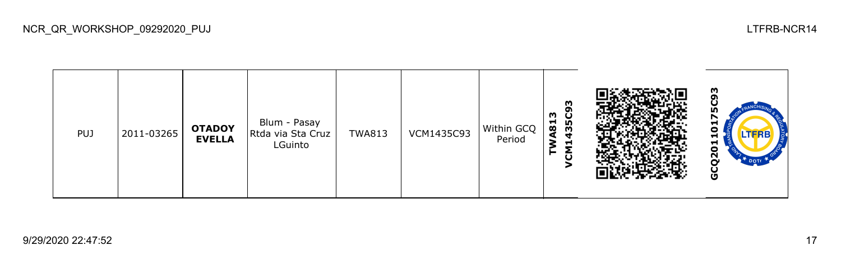## **GCQ20110175C93TWA813** Blum - Pasay PUJ 2011-03265 **OTADOY**  TWA813 VCM1435C93 Within GCQ Rtda via Sta Cruz **EVELLA** Period LGuinto **VCM1** GCQ20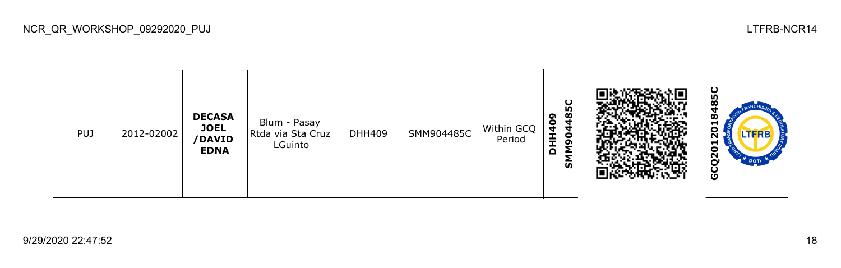**GCQ2012018485CDHH409 DECASA**  Blum - Pasay **JOEL**  DHH409 SMM904485C Within GCQ  $\overline{20}$ PUJ 2012-02002 Rtda via Sta Cruz **/DAVID**  Period **SMM904485C** LGuinto **EDNA** GCQ20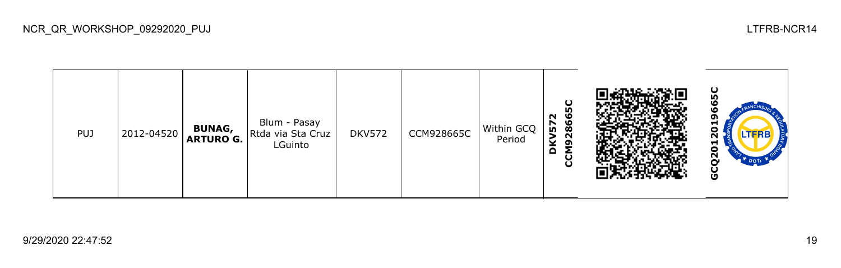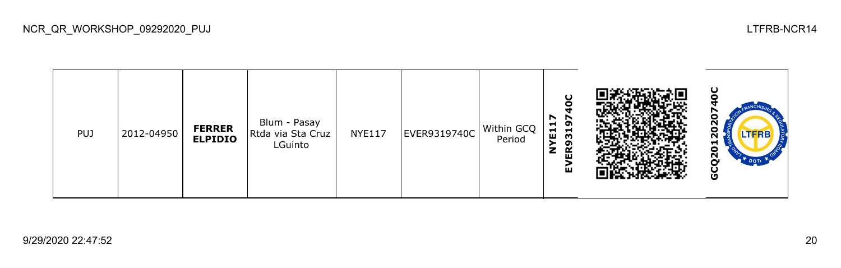**GCQ2012020740CEVER9319740C** 20 **NYE117** Blum - Pasay PUJ 2012-04950 **FERRER**   $NYE117$  EVER9319740C Within GCQ  $\overline{2}$ Rtda via Sta Cruz **ELPIDIO** Period LGuinto GCQ20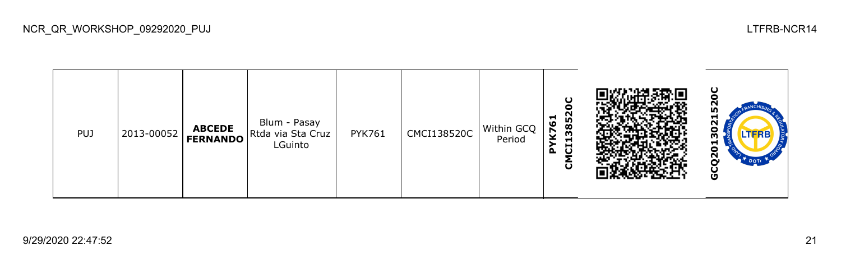**GCQ2013021520C**20 **CMCI138520C PYK761** Blum - Pasay PUJ 2013-00052 **ABCEDE**  PYK761 CMCI138520C Within GCQ Rtda via Sta Cruz 50 **FERNANDO** Period LGuinto GCQ20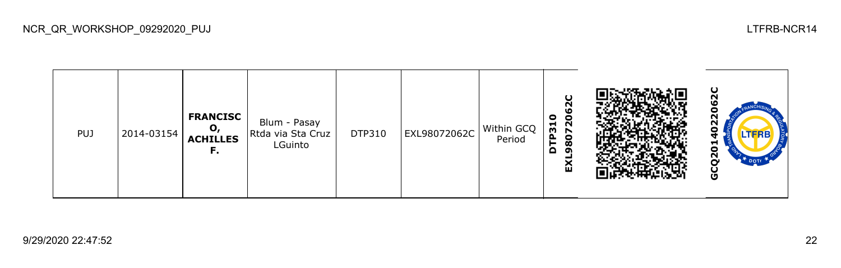

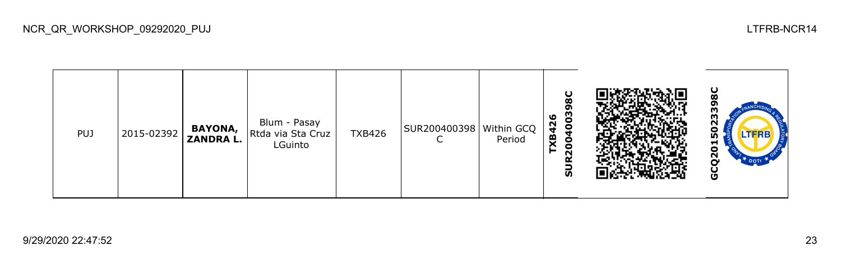| <b>PUJ</b> | 2015-02392 | BAYONA,<br>ZANDRA L. | Blum - Pasay<br>Rtda via Sta Cruz<br>LGuinto | <b>TXB426</b> | SUR200400398   Within GCQ | Period | O<br>œ<br>003<br>ಀ<br>$\frac{4}{5}$<br>ч<br>受<br>X<br>0<br>0<br>$\sim$<br><u>ທ</u> |  | ပ<br>m<br>ო<br>m<br>런<br>о<br>Ñ<br>DOTE<br>ט |
|------------|------------|----------------------|----------------------------------------------|---------------|---------------------------|--------|------------------------------------------------------------------------------------|--|----------------------------------------------|
|------------|------------|----------------------|----------------------------------------------|---------------|---------------------------|--------|------------------------------------------------------------------------------------|--|----------------------------------------------|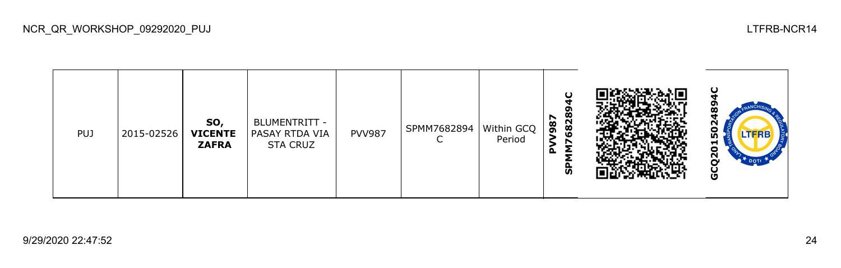| PUJ | 2015-02526 | SO,<br><b>VICENTE</b><br><b>ZAFRA</b> | BLUMENTRITT -<br><b>PASAY RTDA VIA</b><br><b>STA CRUZ</b> | <b>PVV987</b> | SPMM7682894 | Within GCQ<br>Period | $\cup$<br>6828<br>r<br>98<br>௨<br>င္ဟ |  | ပ<br>œ<br>o<br>.TFRB<br><u>ın</u><br>⊶<br>o<br>Ñ<br>DOTE<br>U |
|-----|------------|---------------------------------------|-----------------------------------------------------------|---------------|-------------|----------------------|---------------------------------------|--|---------------------------------------------------------------|
|-----|------------|---------------------------------------|-----------------------------------------------------------|---------------|-------------|----------------------|---------------------------------------|--|---------------------------------------------------------------|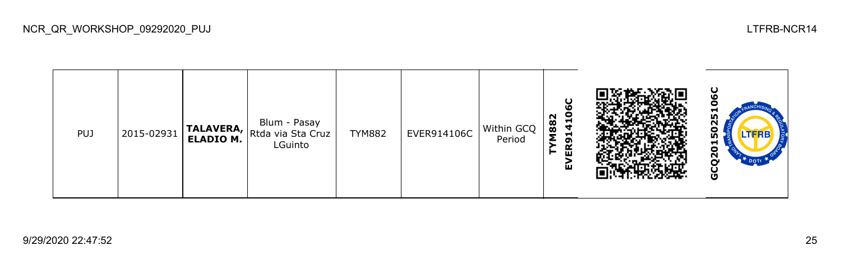**GCQ2015025106CEVER914106C TYM882** Blum - Pasay TYM882 EVER914106C Within GCQ PUJ 2015-02931 **TALAVERA, ELADIO M.** ნ0 Rtda via Sta Cruz Period LGuinto GCQ20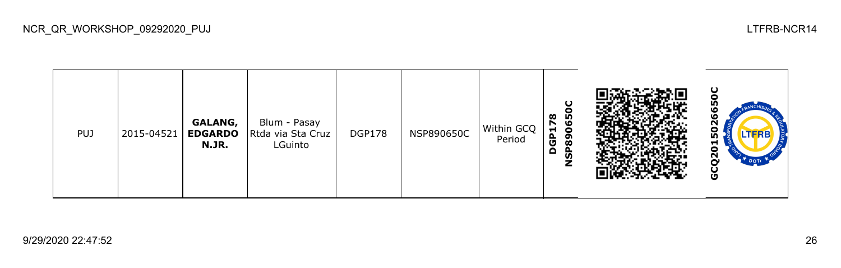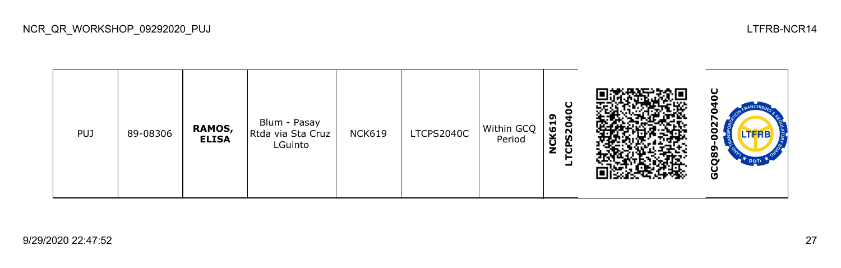| <b>PUJ</b> | 89-08306 | RAMOS,<br><b>ELISA</b> | Blum - Pasay<br>Rtda via Sta Cruz<br>LGuinto | <b>NCK619</b> | LTCPS2040C | Within GCQ<br>Period | Ο<br>o<br>ຸດ<br><br>K61<br><u>ន</u><br><b>S</b><br>$\frac{0}{2}$<br>O<br>ᅴ |  | ပ<br>Ñ<br><b>LTFRB</b><br>თ<br>$\boldsymbol{\omega}$<br>Ō |
|------------|----------|------------------------|----------------------------------------------|---------------|------------|----------------------|----------------------------------------------------------------------------|--|-----------------------------------------------------------|
|------------|----------|------------------------|----------------------------------------------|---------------|------------|----------------------|----------------------------------------------------------------------------|--|-----------------------------------------------------------|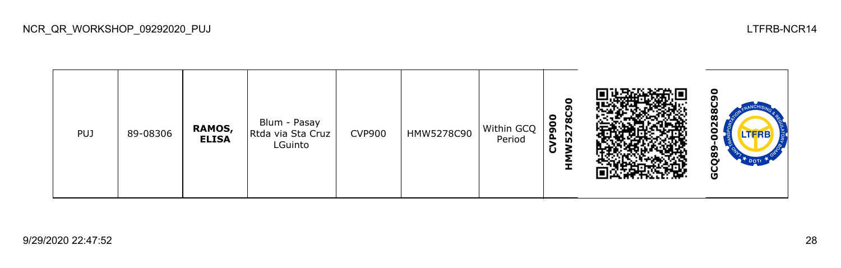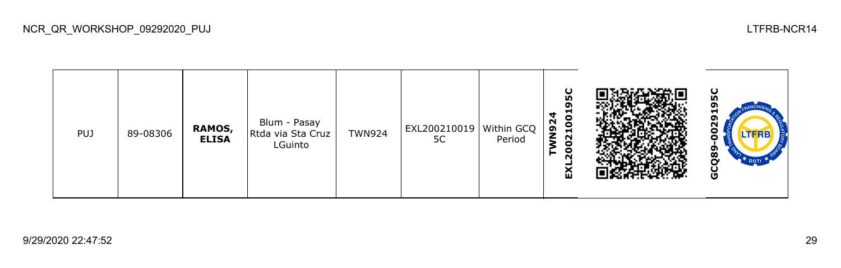| <b>PUJ</b> | 89-08306 | RAMOS,<br><b>ELISA</b> | Blum - Pasay<br>Rtda via Sta Cruz<br>LGuinto | <b>TWN924</b> | EXL200210019 Within GCQ<br>5C | Period | ပ<br><b>ID</b><br>໑<br>−<br>4<br>8<br>N92<br>$\blacksquare$<br>N<br>$\circ$<br>0<br>►<br>N<br>ଢ |  | ပ<br>႙<br>о<br>LTFRB<br>о<br>თ<br>ೲ<br>Ū |
|------------|----------|------------------------|----------------------------------------------|---------------|-------------------------------|--------|-------------------------------------------------------------------------------------------------|--|------------------------------------------|
|------------|----------|------------------------|----------------------------------------------|---------------|-------------------------------|--------|-------------------------------------------------------------------------------------------------|--|------------------------------------------|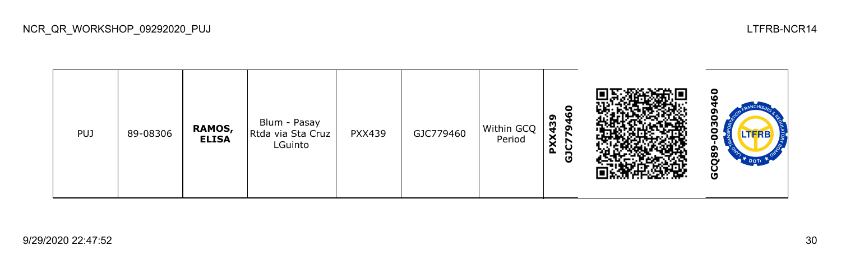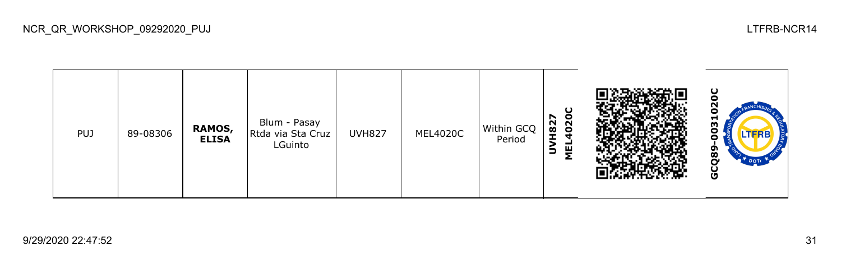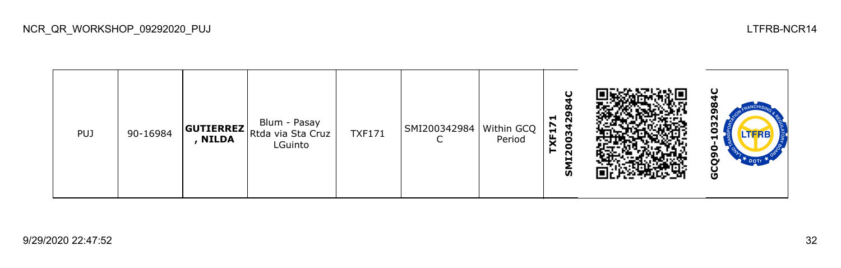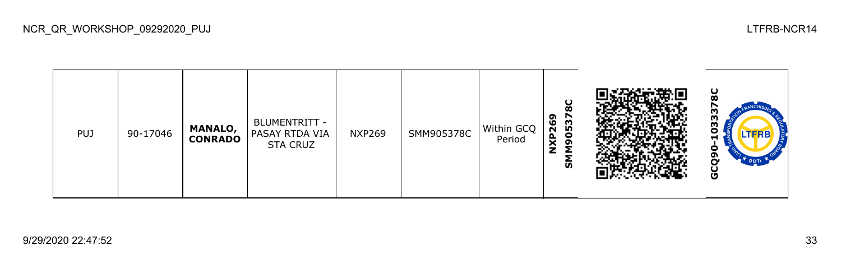| <b>PUJ</b> | 90-17046 | <b>MANALO,</b><br><b>CONRADO</b> | BLUMENTRITT -<br><b>PASAY RTDA VIA</b><br><b>STA CRUZ</b> | <b>NXP269</b> | SMM905378C | Within GCQ<br>Period | ပ<br>ø<br>໑<br>r<br>053<br>$\overline{26}$<br>n<br>N<br>ຶ<br><u>ທ</u> |  | ပ<br>333<br>LTFRB<br>-<br>ດາ<br><b>DOTI</b><br>Ō |
|------------|----------|----------------------------------|-----------------------------------------------------------|---------------|------------|----------------------|-----------------------------------------------------------------------|--|--------------------------------------------------|
|------------|----------|----------------------------------|-----------------------------------------------------------|---------------|------------|----------------------|-----------------------------------------------------------------------|--|--------------------------------------------------|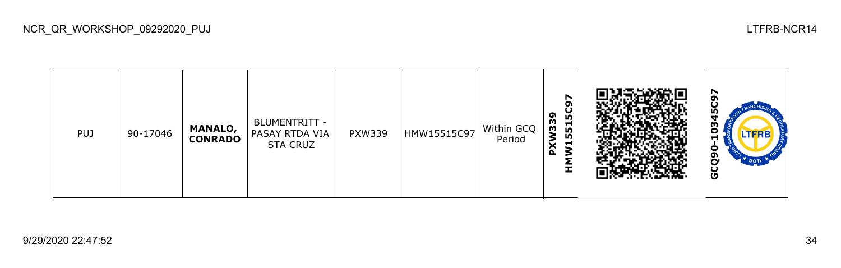| <b>PUJ</b> | 90-17046 | <b>MANALO,</b><br><b>CONRADO</b> | BLUMENTRITT -<br><b>PASAY RTDA VIA</b><br><b>STA CRUZ</b> | <b>PXW339</b> | HMW15515C97 | Within GCQ<br>Period | r<br>ຶ<br>n,<br>თ<br>პ<br>Н<br>LO.<br><b>LO</b><br>−<br>$\mathbf{a}$<br>I |  | N<br>o<br>.TERB<br>о<br>o<br>Ū |
|------------|----------|----------------------------------|-----------------------------------------------------------|---------------|-------------|----------------------|---------------------------------------------------------------------------|--|--------------------------------|
|------------|----------|----------------------------------|-----------------------------------------------------------|---------------|-------------|----------------------|---------------------------------------------------------------------------|--|--------------------------------|

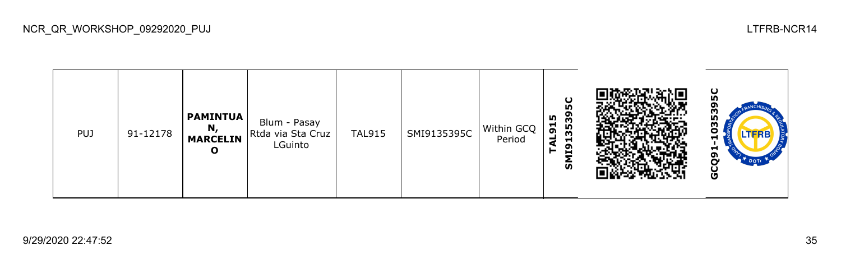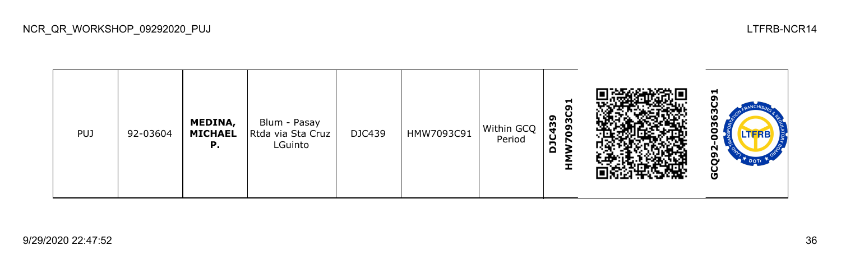| <b>PUJ</b> | 92-03604 | MEDINA,<br><b>MICHAEL</b><br>Р. | Blum - Pasay<br>Rtda via Sta Cruz<br>LGuinto | DJC439 | HMW7093C91 | Within GCQ<br>Period | 51<br>439<br>ີ ອີ<br>o<br>Ù<br>n<br>Δ<br>Ŧ |  | ᆏ<br>oı<br>0363<br>o<br>N<br>ຫ<br>$\mathbf{e}^*$ DOTE<br>Ò<br>Ğ, |
|------------|----------|---------------------------------|----------------------------------------------|--------|------------|----------------------|--------------------------------------------|--|------------------------------------------------------------------|
|------------|----------|---------------------------------|----------------------------------------------|--------|------------|----------------------|--------------------------------------------|--|------------------------------------------------------------------|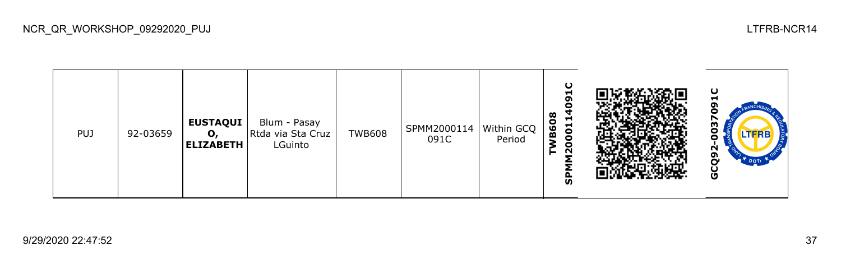| PUJ | 92-03659 | <b>EUSTAQUI</b><br>О,<br><b>ELIZABETH</b> | Blum - Pasay<br>Rtda via Sta Cruz<br>LGuinto | <b>TWB608</b> | SPMM2000114<br>091C | Within GCQ  <br>Period | ပ<br>ᆋ<br>თ<br>0<br>œ<br>−<br><b>B60</b><br>001<br>$\bullet$<br>$\sim$<br>o<br>ັທ |  | ပ<br>−<br>oı<br>m<br>LTFRB<br>Ν<br>ຫ<br>შ |
|-----|----------|-------------------------------------------|----------------------------------------------|---------------|---------------------|------------------------|-----------------------------------------------------------------------------------|--|-------------------------------------------|
|-----|----------|-------------------------------------------|----------------------------------------------|---------------|---------------------|------------------------|-----------------------------------------------------------------------------------|--|-------------------------------------------|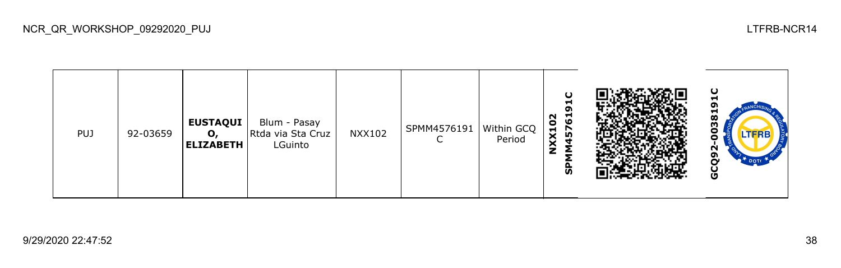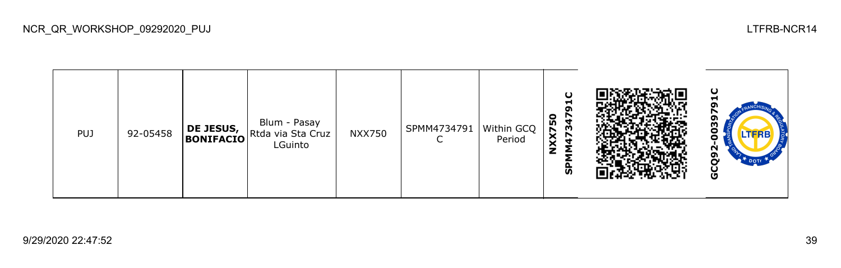| <b>PUJ</b> | 92-05458 | DE JESUS,<br>BONIFACIO | Blum - Pasay<br>Rtda via Sta Cruz<br>LGuinto | <b>NXX750</b> | SPMM4734791 | Within GCQ<br>Period | O<br>−<br>σ<br>$\bullet$<br><b>NXX75</b><br>w<br>ັທ |  | ပ<br>-<br>႙<br>Ο<br><b>LTFRB</b><br>o<br>N<br>໑<br>မိ |
|------------|----------|------------------------|----------------------------------------------|---------------|-------------|----------------------|-----------------------------------------------------|--|-------------------------------------------------------|
|------------|----------|------------------------|----------------------------------------------|---------------|-------------|----------------------|-----------------------------------------------------|--|-------------------------------------------------------|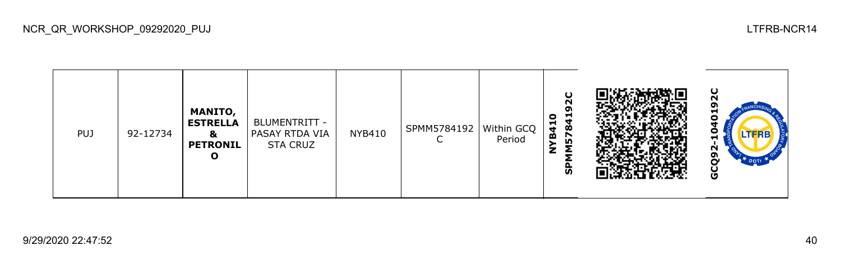| PUJ | 92-12734 | <b>MANITO,</b><br><b>ESTRELLA</b><br>&<br><b>PETRONIL</b><br>О | BLUMENTRITT -<br>  PASAY RTDA VIA<br><b>STA CRUZ</b> | NYB410 | SPMM5784192   Within GCQ | Period | O<br>N<br>0<br>r.<br>ч<br><b>B41</b><br>Ò<br><u>r</u><br><u>မှ</u> |  | ပ<br>N<br>−<br>o<br>LTERE<br>N<br>໑<br>Ū |
|-----|----------|----------------------------------------------------------------|------------------------------------------------------|--------|--------------------------|--------|--------------------------------------------------------------------|--|------------------------------------------|
|-----|----------|----------------------------------------------------------------|------------------------------------------------------|--------|--------------------------|--------|--------------------------------------------------------------------|--|------------------------------------------|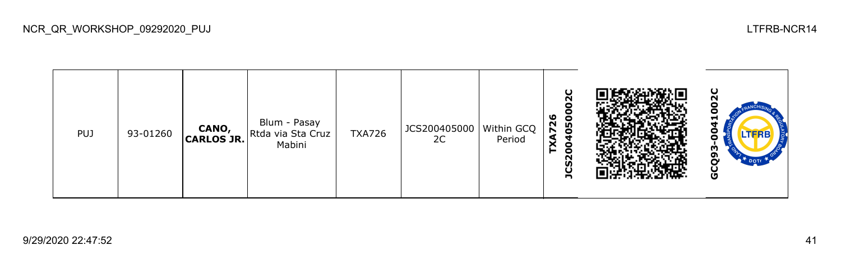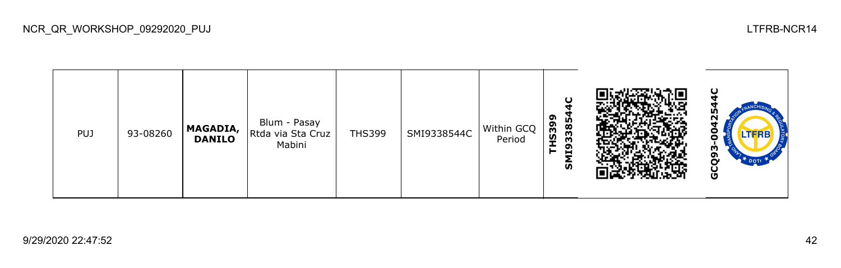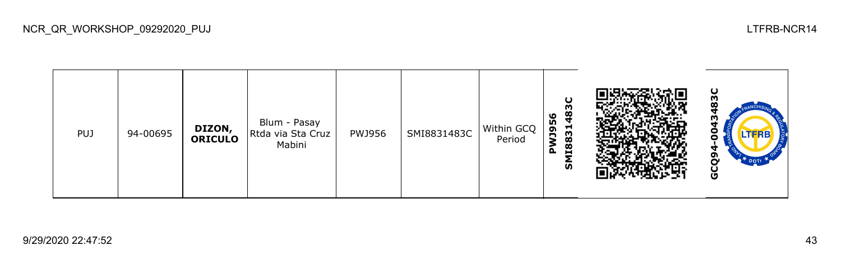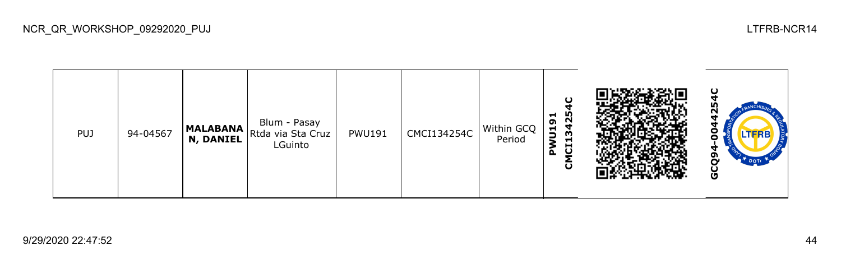

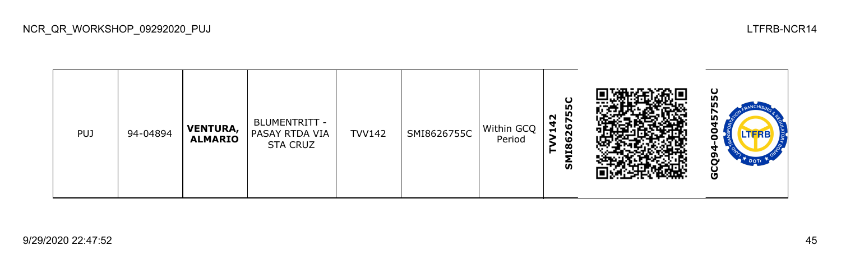| <b>PUJ</b> | 94-04894 | <b>VENTURA,</b><br><b>ALMARIO</b> | BLUMENTRITT -<br>PASAY RTDA VIA<br><b>STA CRUZ</b> | <b>TVV142</b> | SMI8626755C | Within GCQ<br>Period | ပ္စ<br>m<br>N<br>4<br>ဖ<br>H<br>$\sim$<br>١O<br>œ<br>►<br>н<br>ັທ |  | ပ<br>m<br><b>LTFRB7</b><br>m<br>$\mathcal{F}$ DOTr<br>Ū |
|------------|----------|-----------------------------------|----------------------------------------------------|---------------|-------------|----------------------|-------------------------------------------------------------------|--|---------------------------------------------------------|
|------------|----------|-----------------------------------|----------------------------------------------------|---------------|-------------|----------------------|-------------------------------------------------------------------|--|---------------------------------------------------------|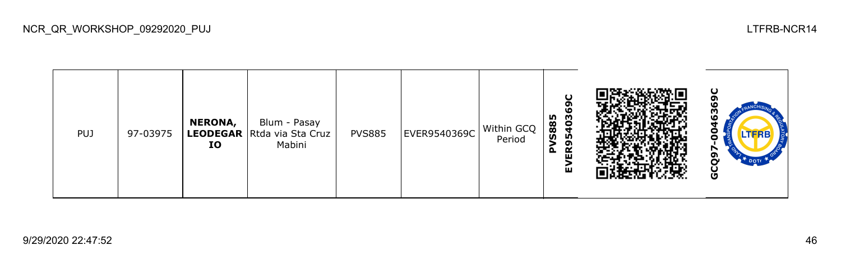| <b>PUJ</b> | 97-03975 | NERONA,<br>IO | Blum - Pasay<br><b>LEODEGAR</b> Rtda via Sta Cruz<br>Mabini | <b>PVS885</b> | EVER9540369C | Within GCQ<br>Period | ပ<br>ຸດ<br><b>10</b><br>403<br><b>S885</b><br>LÒ,<br>ຸດ<br>≃<br>۵.<br>ш<br>ш |  | ပ<br><b>LTFRB</b><br>o<br>Ū |
|------------|----------|---------------|-------------------------------------------------------------|---------------|--------------|----------------------|------------------------------------------------------------------------------|--|-----------------------------|
|------------|----------|---------------|-------------------------------------------------------------|---------------|--------------|----------------------|------------------------------------------------------------------------------|--|-----------------------------|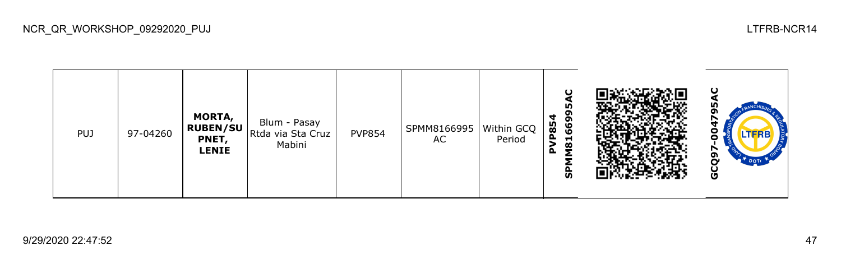**GCQ97-004795AC**SPMM8166995 **MORTA,**  Blum - Pasay **PVP854 RUBEN/SU** PVP854 SPMM8166995 Within GCQ PUJ 97-04260 Rtda via Sta Cruz **PNET,**  AC Period Ο Mabini **LENIE** GCQ97

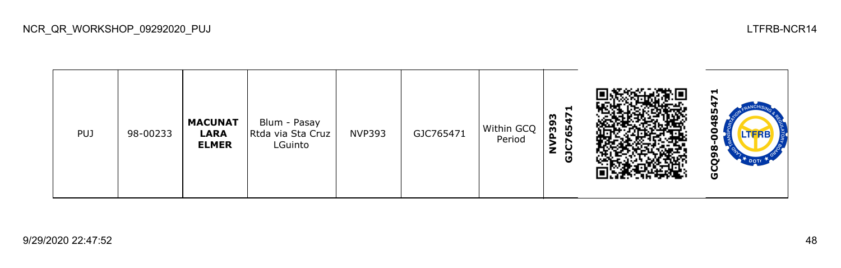**GCQ98-00485471GJC765471 NVP393 MACUNAT**  Blum - Pasay  $NVP393$  GJC765471 Within GCQ Rtda via Sta Cruz PUJ 98-00233 **LARA**  8 Period **ELMER** LGuinto GCQ9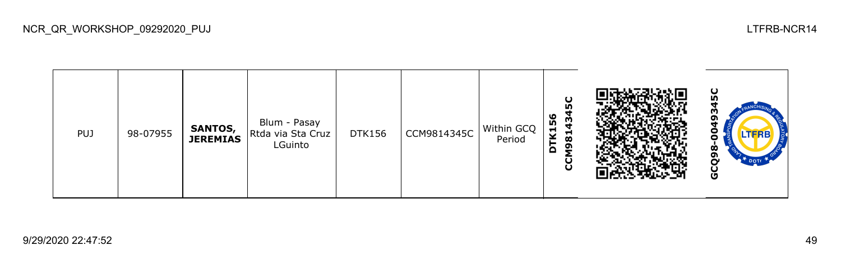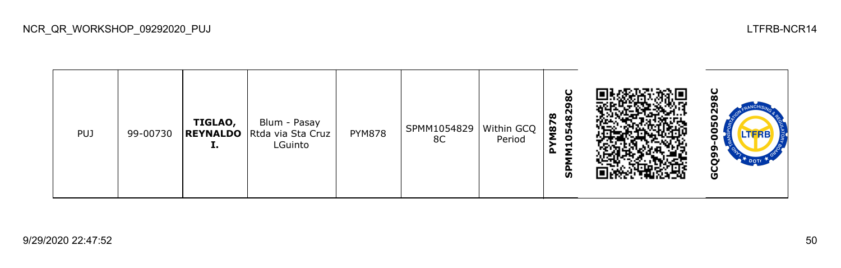| <b>PUJ</b> | 99-00730 | TIGLAO,<br>л. | Blum - Pasay<br><b>REYNALDO</b> Rtda via Sta Cruz<br>LGuinto | <b>PYM878</b> | SPMM1054829<br>8C | Within GCQ<br>Period | 8C<br>8<br>œ<br>N87<br>◥<br>မ္မ<br>₩<br>ਵ<br>௳<br><b>S</b> |  | ပ<br>N<br>о<br>LO <sub>1</sub><br>LTFRB<br>ה<br>ה<br>DOTT<br>n<br>မ္ပ |
|------------|----------|---------------|--------------------------------------------------------------|---------------|-------------------|----------------------|------------------------------------------------------------|--|-----------------------------------------------------------------------|
|------------|----------|---------------|--------------------------------------------------------------|---------------|-------------------|----------------------|------------------------------------------------------------|--|-----------------------------------------------------------------------|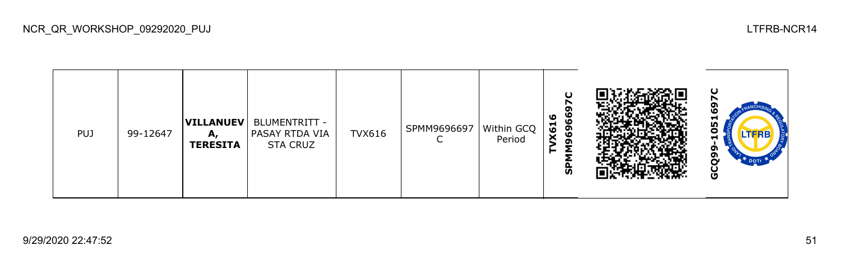| <b>PUJ</b> | 99-12647 | <b>VILLANUEV</b><br>А,<br><b>TERESITA</b> | BLUMENTRITT -<br><b>PASAY RTDA VIA</b><br><b>STA CRUZ</b> | <b>TVX616</b> | SPMM9696697 | Within GCQ<br>Period | ဖ<br>ഄ<br>ဖ<br>X61<br>$\overline{6}$<br>໑<br><u>ທ</u> |  | ပ<br>۱٥<br>ᆋ<br>m<br>o<br>H<br>o<br>o<br>DOTT <sub>1</sub><br>⌒<br>Ğ |
|------------|----------|-------------------------------------------|-----------------------------------------------------------|---------------|-------------|----------------------|-------------------------------------------------------|--|----------------------------------------------------------------------|
|------------|----------|-------------------------------------------|-----------------------------------------------------------|---------------|-------------|----------------------|-------------------------------------------------------|--|----------------------------------------------------------------------|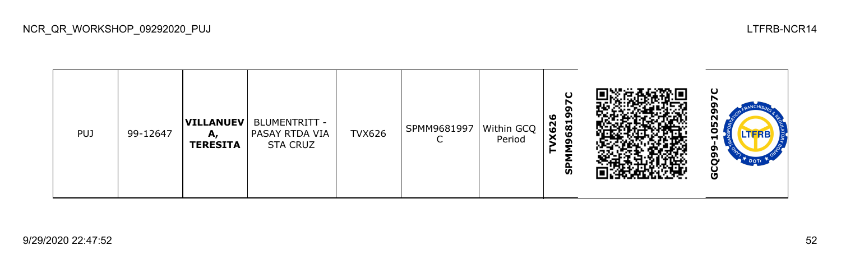| <b>PUJ</b> | 99-12647 | А,<br><b>TERESITA</b> | VILLANUEV   BLUMENTRITT -<br><b>PASAY RTDA VIA</b><br><b>STA CRUZ</b> | <b>TVX626</b> | SPMM9681997 | Within GCQ<br>Period | ഄ<br>o<br>681<br>X62<br>ຶ<br>ັທ |  | ပ<br>ួ<br>o<br><b>LTFRB</b><br>−<br>o<br>o<br>~<br><b>DOT</b><br>မိ |
|------------|----------|-----------------------|-----------------------------------------------------------------------|---------------|-------------|----------------------|---------------------------------|--|---------------------------------------------------------------------|
|------------|----------|-----------------------|-----------------------------------------------------------------------|---------------|-------------|----------------------|---------------------------------|--|---------------------------------------------------------------------|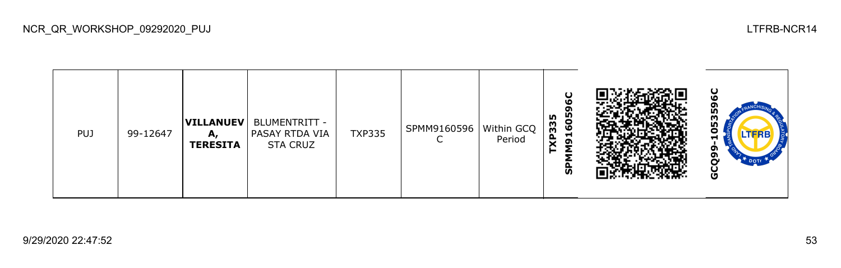| <b>PUJ</b> | 99-12647 | <b>VILLANUEV</b><br>A.<br><b>TERESITA</b> | BLUMENTRITT -<br>  PASAY RTDA VIA<br><b>STA CRUZ</b> | <b>TXP335</b> | SPMM9160596 | Within GCQ<br>Period | 605<br>m<br><b>EEdy</b><br>$\blacksquare$<br>G<br>⌒<br><b>S</b> |  | ပ<br>ო<br>ŋ<br>ο<br>TERB'<br>−<br>o<br>o<br>DOTT <sub>1</sub><br>မိ |
|------------|----------|-------------------------------------------|------------------------------------------------------|---------------|-------------|----------------------|-----------------------------------------------------------------|--|---------------------------------------------------------------------|
|------------|----------|-------------------------------------------|------------------------------------------------------|---------------|-------------|----------------------|-----------------------------------------------------------------|--|---------------------------------------------------------------------|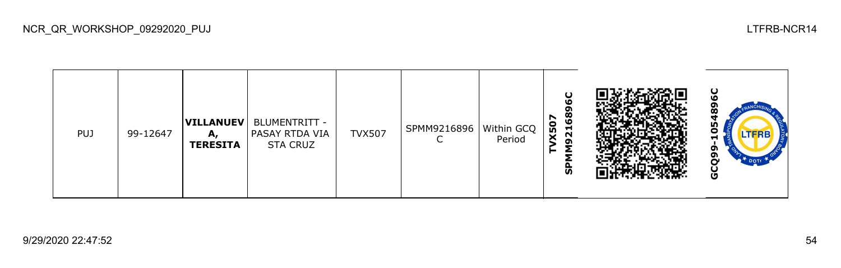| <b>PUJ</b> | 99-12647 | VILLANUEV<br>А,<br><b>TERESITA</b> | <b>BLUMENTRITT -</b><br>PASAY RTDA VIA<br><b>STA CRUZ</b> | <b>TVX507</b> | SPMM9216896 | Within GCQ  <br>Period | O<br>١O<br>ဒ္ဓိ<br>r<br>ន<br>$\overline{21}$<br>ຕ<br>ັທ |  | ပ<br>ဖ<br>œ<br>m<br>o<br>−<br>ת<br>თ<br>r<br>$\mathbf{P}^{\mathbf{T}}$ DOTE<br>Ğ |
|------------|----------|------------------------------------|-----------------------------------------------------------|---------------|-------------|------------------------|---------------------------------------------------------|--|----------------------------------------------------------------------------------|
|------------|----------|------------------------------------|-----------------------------------------------------------|---------------|-------------|------------------------|---------------------------------------------------------|--|----------------------------------------------------------------------------------|

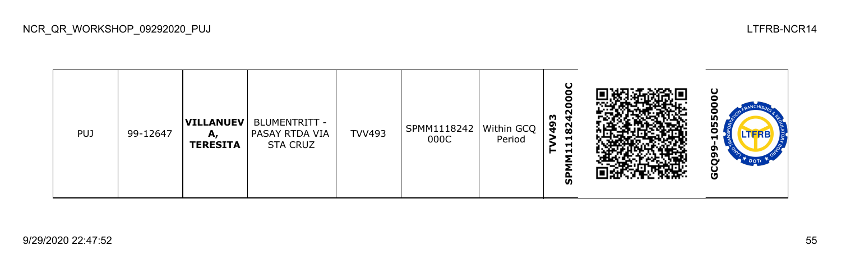| <b>PUJ</b> | 99-12647 | <b>VILLANUEV</b><br>А<br><b>TERESITA</b> | BLUMENTRITT -<br>PASAY RTDA VIA<br><b>STA CRUZ</b> | <b>TVV493</b> | SPMM1118242   Within GCQ<br>000C | Period | m<br>$\frac{6}{4}$<br>82<br>−<br>$\blacksquare$<br><b>S</b> |  | 55<br>г<br>LTFRB<br>П<br>ີ<br>ີ<br>ט |
|------------|----------|------------------------------------------|----------------------------------------------------|---------------|----------------------------------|--------|-------------------------------------------------------------|--|--------------------------------------|
|------------|----------|------------------------------------------|----------------------------------------------------|---------------|----------------------------------|--------|-------------------------------------------------------------|--|--------------------------------------|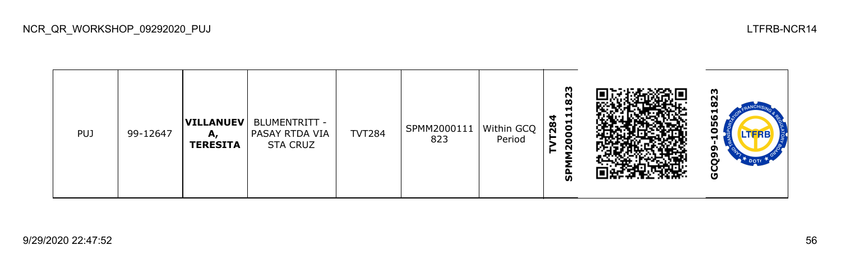| <b>PUJ</b> | 99-12647 | VILLANUEV<br>A.<br><b>TERESITA</b> | BLUMENTRITT -<br>PASAY RTDA VIA<br><b>STA CRUZ</b> | <b>TVT284</b> | SPMM2000111<br>823 | Within GCQ<br>Period | m<br>$\overline{8}$<br>−<br>−<br><b>82</b><br>$\bullet$<br>N<br><b>S</b> |  | m<br>N<br>œ<br>٥<br>m<br>.теке<br>-<br>o<br>ຫ<br>o |
|------------|----------|------------------------------------|----------------------------------------------------|---------------|--------------------|----------------------|--------------------------------------------------------------------------|--|----------------------------------------------------|
|------------|----------|------------------------------------|----------------------------------------------------|---------------|--------------------|----------------------|--------------------------------------------------------------------------|--|----------------------------------------------------|